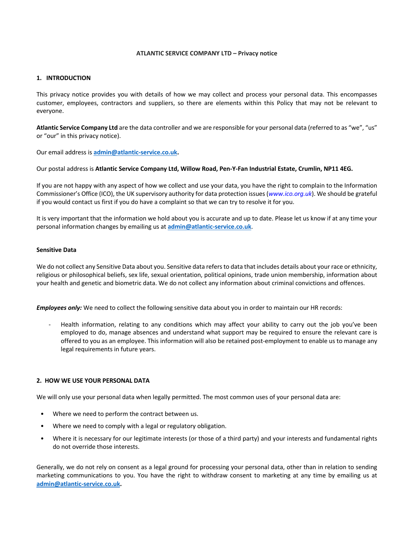#### **ATLANTIC SERVICE COMPANY LTD – Privacy notice**

# **1. INTRODUCTION**

This privacy notice provides you with details of how we may collect and process your personal data. This encompasses customer, employees, contractors and suppliers, so there are elements within this Policy that may not be relevant to everyone.

**Atlantic Service Company Ltd** are the data controller and we are responsible for your personal data (referred to as "we", "us" or "our" in this privacy notice).

Our email address is **admin@atlantic-service.co.uk.** 

## Our postal address is **Atlantic Service Company Ltd, Willow Road, Pen-Y-Fan Industrial Estate, Crumlin, NP11 4EG.**

If you are not happy with any aspect of how we collect and use your data, you have the right to complain to the Information Commissioner's Office (ICO), the UK supervisory authority for data protection issues (*www.ico.org.uk*). We should be grateful if you would contact us first if you do have a complaint so that we can try to resolve it for you.

It is very important that the information we hold about you is accurate and up to date. Please let us know if at any time your personal information changes by emailing us at **admin@atlantic-service.co.uk**.

## **Sensitive Data**

We do not collect any Sensitive Data about you. Sensitive data refers to data that includes details about your race or ethnicity, religious or philosophical beliefs, sex life, sexual orientation, political opinions, trade union membership, information about your health and genetic and biometric data. We do not collect any information about criminal convictions and offences.

*Employees only:* We need to collect the following sensitive data about you in order to maintain our HR records:

Health information, relating to any conditions which may affect your ability to carry out the job you've been employed to do, manage absences and understand what support may be required to ensure the relevant care is offered to you as an employee. This information will also be retained post-employment to enable us to manage any legal requirements in future years.

#### **2. HOW WE USE YOUR PERSONAL DATA**

We will only use your personal data when legally permitted. The most common uses of your personal data are:

- Where we need to perform the contract between us.
- Where we need to comply with a legal or regulatory obligation.
- Where it is necessary for our legitimate interests (or those of a third party) and your interests and fundamental rights do not override those interests.

Generally, we do not rely on consent as a legal ground for processing your personal data, other than in relation to sending marketing communications to you. You have the right to withdraw consent to marketing at any time by emailing us at **admin@atlantic-service.co.uk.**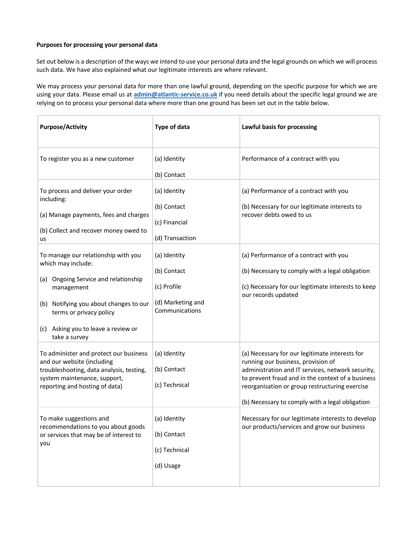# **Purposes for processing your personal data**

Set out below is a description of the ways we intend to use your personal data and the legal grounds on which we will process such data. We have also explained what our legitimate interests are where relevant.

We may process your personal data for more than one lawful ground, depending on the specific purpose for which we are using your data. Please email us at **admin@atlantic-service.co.uk** if you need details about the specific legal ground we are relying on to process your personal data where more than one ground has been set out in the table below.

| <b>Purpose/Activity</b>                                                                                                                                                                                                                      | <b>Type of data</b>                                                               | Lawful basis for processing                                                                                                                                                                                                                                                                         |
|----------------------------------------------------------------------------------------------------------------------------------------------------------------------------------------------------------------------------------------------|-----------------------------------------------------------------------------------|-----------------------------------------------------------------------------------------------------------------------------------------------------------------------------------------------------------------------------------------------------------------------------------------------------|
| To register you as a new customer                                                                                                                                                                                                            | (a) Identity<br>(b) Contact                                                       | Performance of a contract with you                                                                                                                                                                                                                                                                  |
| To process and deliver your order<br>including:<br>(a) Manage payments, fees and charges<br>(b) Collect and recover money owed to<br>us                                                                                                      | (a) Identity<br>(b) Contact<br>(c) Financial<br>(d) Transaction                   | (a) Performance of a contract with you<br>(b) Necessary for our legitimate interests to<br>recover debts owed to us                                                                                                                                                                                 |
| To manage our relationship with you<br>which may include:<br>(a) Ongoing Service and relationship<br>management<br>(b) Notifying you about changes to our<br>terms or privacy policy<br>(c) Asking you to leave a review or<br>take a survey | (a) Identity<br>(b) Contact<br>(c) Profile<br>(d) Marketing and<br>Communications | (a) Performance of a contract with you<br>(b) Necessary to comply with a legal obligation<br>(c) Necessary for our legitimate interests to keep<br>our records updated                                                                                                                              |
| To administer and protect our business<br>and our website (including<br>troubleshooting, data analysis, testing,<br>system maintenance, support,<br>reporting and hosting of data)                                                           | (a) Identity<br>(b) Contact<br>(c) Technical                                      | (a) Necessary for our legitimate interests for<br>running our business, provision of<br>administration and IT services, network security,<br>to prevent fraud and in the context of a business<br>reorganisation or group restructuring exercise<br>(b) Necessary to comply with a legal obligation |
| To make suggestions and<br>recommendations to you about goods<br>or services that may be of interest to<br>you                                                                                                                               | (a) Identity<br>(b) Contact<br>(c) Technical<br>(d) Usage                         | Necessary for our legitimate interests to develop<br>our products/services and grow our business                                                                                                                                                                                                    |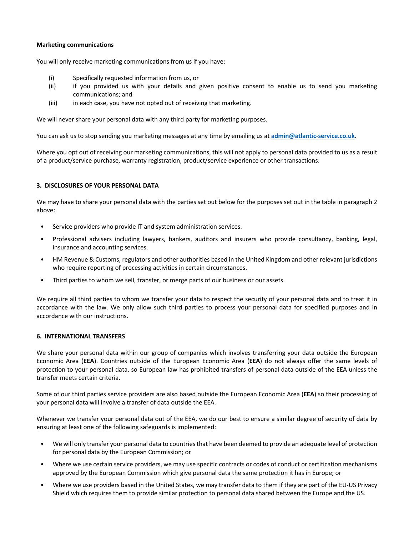## **Marketing communications**

You will only receive marketing communications from us if you have:

- (i) Specifically requested information from us, or
- (ii) if you provided us with your details and given positive consent to enable us to send you marketing communications; and
- (iii) in each case, you have not opted out of receiving that marketing.

We will never share your personal data with any third party for marketing purposes.

You can ask us to stop sending you marketing messages at any time by emailing us at **admin@atlantic-service.co.uk**.

Where you opt out of receiving our marketing communications, this will not apply to personal data provided to us as a result of a product/service purchase, warranty registration, product/service experience or other transactions.

## **3. DISCLOSURES OF YOUR PERSONAL DATA**

We may have to share your personal data with the parties set out below for the purposes set out in the table in paragraph 2 above:

- Service providers who provide IT and system administration services.
- Professional advisers including lawyers, bankers, auditors and insurers who provide consultancy, banking, legal, insurance and accounting services.
- HM Revenue & Customs, regulators and other authorities based in the United Kingdom and other relevant jurisdictions who require reporting of processing activities in certain circumstances.
- Third parties to whom we sell, transfer, or merge parts of our business or our assets.

We require all third parties to whom we transfer your data to respect the security of your personal data and to treat it in accordance with the law. We only allow such third parties to process your personal data for specified purposes and in accordance with our instructions.

#### **6. INTERNATIONAL TRANSFERS**

We share your personal data within our group of companies which involves transferring your data outside the European Economic Area (**EEA**). Countries outside of the European Economic Area (**EEA**) do not always offer the same levels of protection to your personal data, so European law has prohibited transfers of personal data outside of the EEA unless the transfer meets certain criteria.

Some of our third parties service providers are also based outside the European Economic Area (**EEA**) so their processing of your personal data will involve a transfer of data outside the EEA.

Whenever we transfer your personal data out of the EEA, we do our best to ensure a similar degree of security of data by ensuring at least one of the following safeguards is implemented:

- We will only transfer your personal data to countries that have been deemed to provide an adequate level of protection for personal data by the European Commission; or
- Where we use certain service providers, we may use specific contracts or codes of conduct or certification mechanisms approved by the European Commission which give personal data the same protection it has in Europe; or
- Where we use providers based in the United States, we may transfer data to them if they are part of the EU-US Privacy Shield which requires them to provide similar protection to personal data shared between the Europe and the US.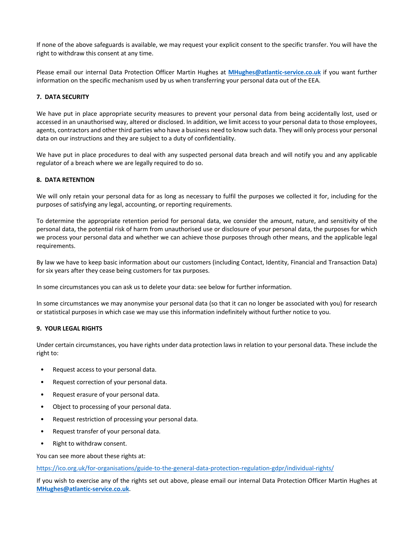If none of the above safeguards is available, we may request your explicit consent to the specific transfer. You will have the right to withdraw this consent at any time.

Please email our internal Data Protection Officer Martin Hughes at **MHughes@atlantic-service.co.uk** if you want further information on the specific mechanism used by us when transferring your personal data out of the EEA.

## **7. DATA SECURITY**

We have put in place appropriate security measures to prevent your personal data from being accidentally lost, used or accessed in an unauthorised way, altered or disclosed. In addition, we limit access to your personal data to those employees, agents, contractors and other third parties who have a business need to know such data. They will only process your personal data on our instructions and they are subject to a duty of confidentiality.

We have put in place procedures to deal with any suspected personal data breach and will notify you and any applicable regulator of a breach where we are legally required to do so.

## **8. DATA RETENTION**

We will only retain your personal data for as long as necessary to fulfil the purposes we collected it for, including for the purposes of satisfying any legal, accounting, or reporting requirements.

To determine the appropriate retention period for personal data, we consider the amount, nature, and sensitivity of the personal data, the potential risk of harm from unauthorised use or disclosure of your personal data, the purposes for which we process your personal data and whether we can achieve those purposes through other means, and the applicable legal requirements.

By law we have to keep basic information about our customers (including Contact, Identity, Financial and Transaction Data) for six years after they cease being customers for tax purposes.

In some circumstances you can ask us to delete your data: see below for further information.

In some circumstances we may anonymise your personal data (so that it can no longer be associated with you) for research or statistical purposes in which case we may use this information indefinitely without further notice to you.

#### **9. YOUR LEGAL RIGHTS**

Under certain circumstances, you have rights under data protection laws in relation to your personal data. These include the right to:

- Request access to your personal data.
- Request correction of your personal data.
- Request erasure of your personal data.
- Object to processing of your personal data.
- Request restriction of processing your personal data.
- Request transfer of your personal data.
- Right to withdraw consent.

You can see more about these rights at:

https://ico.org.uk/for-organisations/guide-to-the-general-data-protection-regulation-gdpr/individual-rights/

If you wish to exercise any of the rights set out above, please email our internal Data Protection Officer Martin Hughes at **MHughes@atlantic-service.co.uk**.